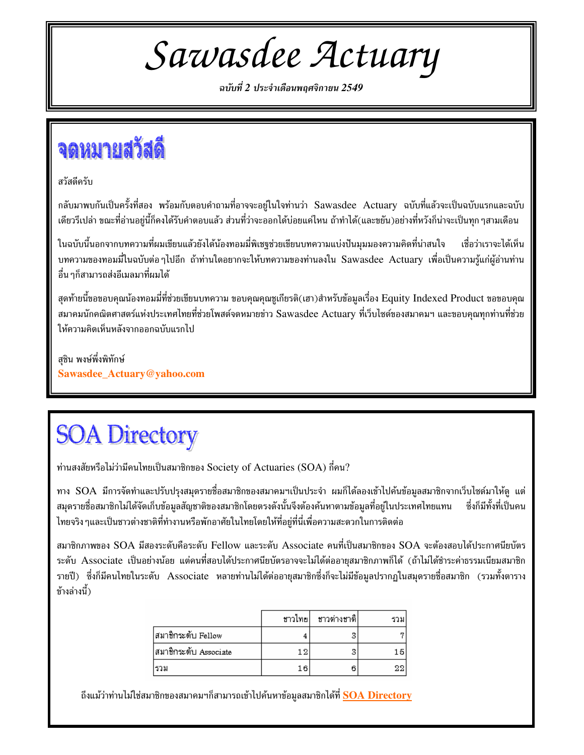*Sawasdee Actuary* 

ฉบับที่ 2 ประจำเดือนพฤศจิกายน 2549

### จดหมายสวัสดิ

สวัสดีครับ

กลับมาพบกันเป็นครั้งที่สอง พร้อมกับตอบคำถามที่อาจจะอยู่ในใจท่านว่า Sawasdee Actuary ฉบับที่แล้วจะเป็นฉบับแรกและฉบับ เดียวรึเปล่า ขณะที่อ่านอยู่นี้ก็คงได้รับคำตอบแล้ว ส่วนที่ว่าจะออกได้บ่อยแค่ไหน ถ้าทำได้(และขยัน)อย่างที่หวังก็น่าจะเป็นทุก ๆสามเดือน

ในฉบับนี้นอกจากบทความที่ผมเขียนแล้วยังได้น้องทอมมี่พิเชฐช่วยเขียนบทความแบ่งปันมุมมองความคิดที่น่าสนใจ เชื่อว่ เชื่อว่าเราจะได้เห็น บทความของทอมมี่ในฉบับต่อ ๆไปอีก ถ้าท่านใดอยากจะให้บทความของท่านลงใน Sawasdee Actuary เพื่อเป็นความรู้แก่ผู้อ่านท่าน อื่น ๆก็สามารถส่งอีเมลมาที่ผมได้

สุดท้ายนี้ขอขอบคุณน้องทอมมี่ที่ช่วยเขียนบทความ ขอบคุณคุณชูเกียรติ(เฮา)สำหรับข้อมูลเรื่อง Equity Indexed Product ขอขอบคุณ สมาคมนักคณิตศาสตร์แห่งประเทศไทยที่ช่วยโพสต์จดหมายข่าว Sawasdee Actuary ที่เว็บไซด์ของสมาคมฯ และขอบคุณทุกท่านที่ช่วย ให้ความคิดเห็นหลังจากออกฉบับแรกไป

สฺชิน พงษ์พึ่งพิทักษ์ **Sawasdee\_Actuary@yahoo.com** 

## **SOA Directory**

ท่านสงสัยหรือไม่ว่ามีคนไทยเป็นสมาชิกของ Society of Actuaries (SOA) กี่คน?

ทาง SOA มีการจัดทำและปรับปรุงสมุดรายชื่อสมาชิกของสมาคมฯเป็นประจำ ผมก็ได้ลองเข้าไปค้นข้อมูลสมาชิกจากเว็บไซด์มาให้ดู แต่ สมุดรายชื่อสมาชิกไม่ได้จัดเก็บข้อมูลสัญชาติของสมาชิกโดยตรงดังนั้นจึงต้องค้นหาตามข้อมูลที่อยู่ในประเทศไทยแทน ซึ่งก็มีทั้งที่เป็นคน ไทยจริง ๆและเป็นชาวต่างชาติที่ทำงานหรือพักอาศัยในไทยโดยให้ที่อยู่ที่นี่เพื่อความสะดวกในการติดต่อ

สมาชิกภาพของ SOA มีสองระดับคือระดับ Fellow และระดับ Associate คนที่เป็นสมาชิกของ SOA จะต้องสอบได้ประกาศนียบัตร ระดับ Associate เป็นอย่างน้อย แต่คนที่สอบได้ประกาศนียบัตรอาจจะไม่ได้ต่ออายุสมาชิกภาพก็ได้ (ถ้าไม่ได้ชำระค่าธรรมเนียมสมาชิก รายปี) ซึ่งก็มีคนไทยในระดับ Associate หลายท่านไม่ได้ต่ออายุสมาชิกซึ่งก็จะไม่มีข้อมูลปรากฏในสมุดรายชื่อสมาชิก (รวมทั้งตาราง ข้างล่างนี้)

|                       | ชาวไทย | ชาวต่างชาติ | รวม |
|-----------------------|--------|-------------|-----|
| สมาชิกระดับ Fellow    |        |             |     |
| สมาชิกระดับ Associate | 12     |             | 15  |
| เชวม                  | 16     |             | 22  |

ถึงแม้ว่าท่านไม่ใช่สมาชิกของสมาคมฯก็สามารถเข้าไปค้นหาข้อมูลสมาชิกได้ที่ <mark>SOA Directory</mark>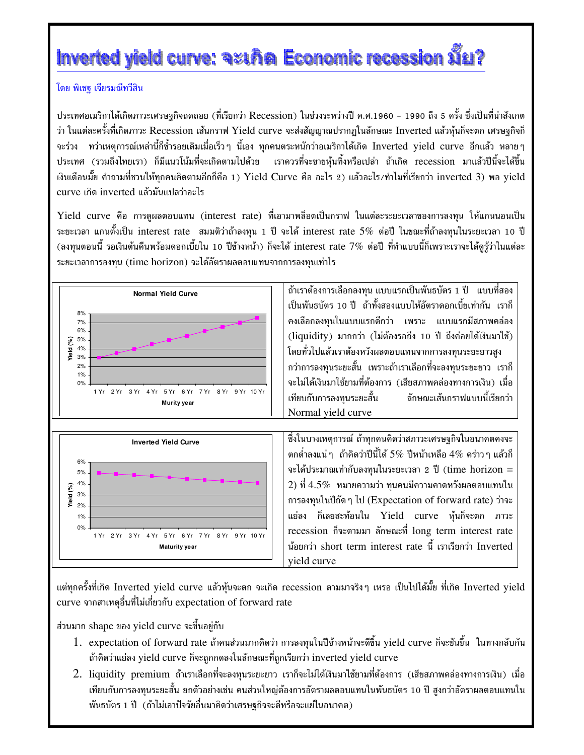### Inverted yield curve: จะเกิด Economic recession มัย?

#### โดย พิเชฐ เจียรมณีทวีสิน

ประเทศอเมริกาได้เกิดภาวะเศรษฐกิจถดถอย (ที่เรียกว่า Recession) ในช่วงระหว่างปี ค.ศ.1960 - 1990 ถึง 5 ครั้ง ซึ่งเป็นที่น่าสังเกต ว่า ในแต่ละครั้งที่เกิดภาวะ Recession เส้นกราฟ Yield curve จะส่งสัญญาณปรากฏในลักษณะ Inverted แล้วหุ้นก็จะตก เศรษฐกิจก็ จะร่วง ทว่าเหตุการณ์เหล่านี้ก็ซ้ำรอยเดิมเมื่อเร็ว ๆ นี้เอง ทุกคนตระหนักว่าอเมริกาได้เกิด Inverted yield curve อีกแล้ว หลาย ๆ ประเทศ (รวมถึงไทยเรา) ก็มีแนวโน้มที่จะเกิดตามไปด้วย เราควรที่จะขายหุ้นทิ้งหรือเปล่า ถ้าเกิด recession มาแล้วปีนี้จะได้ขึ้น เงินเดือนมั๊ย คำถามที่ชวนให้ทุกคนคิดตามอีกก็คือ 1) Yield Curve คือ อะไร 2) แล้วอะไร/ทำไมที่เรียกว่า inverted 3) พอ yield  $curve$  เกิด inverted แล้วมันแปลว่าอะไร

 ${\bf Yield}$  curve คือ การดูผลตอบแทน (interest rate) ที่เอามาพล็อตเป็นกราฟ ในแต่ละระยะเวลาของการลงทุน ให้แกนนอนเป็น ระยะเวลา แกนตั้งเป็น interest rate สมมติว่าถ้าลงทุน 1 ปี จะได้ interest rate 5% ต่อปี ในขณะที่ถ้าลงทุนในระยะเวลา 10 ปี (ลงทุนตอนนี้ รอเงินต้นคืนพร้อมดอกเบี้ยใน 10 ปีข้างหน้า) ก็จะได้ interest rate 7% ต่อปี ที่ทำแบบนี้ก็เพราะเราจะได้ดูรู้ว่าในแต่ละ ระยะเวลาการลงทุน (time horizon) จะได้อัตราผลตอบแทนจากการลงทุนเท่าไร





ถ้าเราต้องการเลือกลงทุน แบบแรกเป็นพันธบัตร 1 ปี แบบที่สอง เป็นพันธบัตร 10 ปี ถ้าทั้งสองแบบให้อัตราดอกเบี้ยเท่ากัน เราก็ คงเลือกลงทุนในแบบแรกดีกว่า เพราะ แบบแรกมีสภาพคล่อง (liquidity) มากกว่า (ไม่ต้องรอถึง 10 ปี ถึงค่อยได้เงินมาใช้) โดยทั่วไปแล้วเราต้องหวังผลตอบแทนจากการลงทุนระยะยาวสูง กว่าการลงทุนระยะสั้น เพราะถ้าเราเลือกที่จะลงทุนระยะยาว เราก็ จะไม่ได้เงินมาใช้ยามที่ต้องการ (เสียสภาพคล่องทางการเงิน) เมื่อ เทียบกับการลงทุนระยะสั้น ลั ึกษณะเส้นกราฟแบบนี้เรียกว่า Normal yield curve

ซึ่งในบางเหตุการณ์ ถ้าทุกคนคิดว่าสภาวะเศรษฐกิจในอนาคตคงจะ ตกต่ำลงแน่ ๆ ถ้าคิดว่าปีนี้ได้ 5% ปีหน้าเหลือ 4% คร่าว ๆ แล้วก็ จะได้ประมาณเท่ากับลงทุนในระยะเวลา 2 ปี (time horizon = 2) ที่ 4.5% หมายความว่า ทุนคนมีความคาดหวังผลตอบแทนใน การลงทุนในปีถัด ๆ ไป (Expectation of forward rate) ว่าจะ แย่ลง ก็เลยสะท้อนใน Yield curve หุ้นก็จะตก ภาวะ recession ก็จะตามมา ลักษณะที่ long term interest rate น้อยกว่า short term interest rate นี้ เราเรียกว่า Inverted yield curve

แต่ทุกครั้งที่เกิด Inverted yield curve แล้วหุ้นจะตก จะเกิด recession ตามมาจริงๆ เหรอ เป็นไปได้มั๊ย ที่เกิด Inverted yield curve จากสาเหตุอื่นที่ไม่เกี่ยวกับ expectation of forward rate

ส่วนมาก shape ของ yield curve จะขึ้นอยู่กับ

- $1.$  expectation of forward rate ถ้าคนส่วนมากคิดว่า การลงทุนในปีข้างหน้าจะดีขึ้น yield curve ก็จะชันขึ้น ในทางกลับกัน ถ้าคิดว่าแย่ลง yield curve ก็จะถูกกดลงในลักษณะที่ถูกเรียกว่า inverted yield curve
- $2. \,$  liquidity premium ถ้าเราเลือกที่จะลงทุนระยะยาว เราก็จะไม่ได้เงินมาใช้ยามที่ต้องการ (เสียสภาพคล่องทางการเงิน) เมื่อ เทียบกับการลงทุนระยะสั้น ยกตัวอย่างเช่น คนส่วนใหญ่ต้องการอัตราผลตอบแทนในพันธบัตร 10 ปี สูงกว่าอัตราผลตอบแทนใน พันธบัตร 1 ปี (ถ้าไม่เอาปัจจัยอื่นมาคิดว่าเศรษฐกิจจะดีหรือจะแย่ในอนาคต)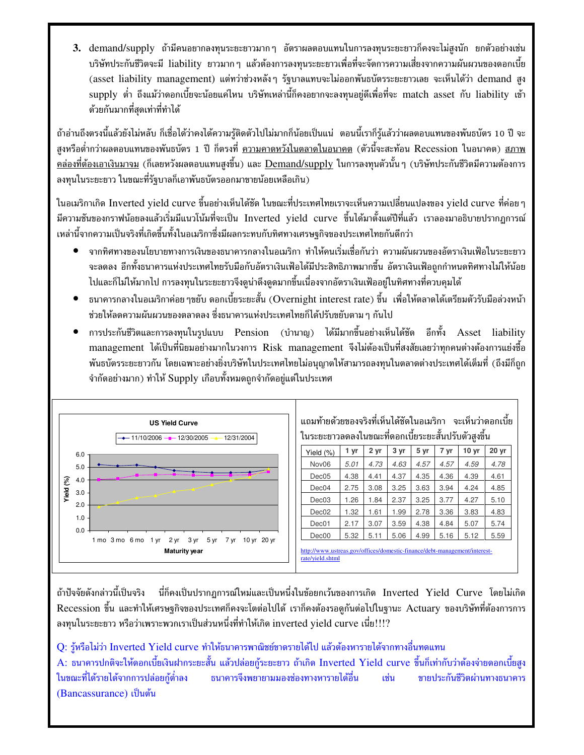**3.** demand/supply ถ้ามีคนอยากลงทุนระยะยาวมากๆ อัตราผลตอบแทนในการลงทุนระยะยาวก็คงจะไม่สูงนัก ยกตัวอย่างเช่น บริษัทประกันชีวิตจะมี liability ยาวมากๆ แล้วต้องการลงทุนระยะยาวเพื่อที่จะจัดการความเสี่ยงจากความผันผวนของดอกเบี้ย (asset liability management) แต่ทว่าช่วงหลังๆ รัฐบาลแทบจะไม่ออกพันธบัตรระยะยาวเลย จะเห็นได้ว่า demand สูง  $\sup$ ply ต่ำ ถึงแม้ว่าดอกเบี้ยจะน้อยแค่ไหน บริษัทเหล่านี้ก็คงอยากจะลงทุนอยู่ดีเพื่อที่จะ match asset กับ liability เข้า ด้วยกันมากที่สุดเท่าที่ทำได้

ถ้าอ่านถึงตรงนี้แล้วยังไม่หลับ ก็เชื่อได้ว่าคงได้ความรู้ติดตัวไปไม่มากก็น้อยเป็นแน่ ตอนนี้เราก็รู้แล้วว่าผลตอบแทนของพันธบัตร 10 ปี จะ สูงหรือต่ำกว่าผลตอบแทนของพันธบัตร 1 ปี ก็ตรงที่ <u>ความคาดหวังในตลาดในอนาคต</u> (ตัวนี้จะสะท้อน Recession ในอนาคต) <u>สภาพ</u> <u>คล่องที่ต้องเอาเงินมาจม</u> (ก็เลยหวังผลตอบแทนสูงขึ้น) และ <u>Demand/supply</u> ในการลงทุนตัวนั้นๆ (บริษัทประกันชีวิตมีความต้องการ ลงทุนในระยะยาว ในขณะที่รัฐบาลก็เอาพันธบัตรออกมาขายน้อยเหลือเกิน)

ในอเมริกาเกิด Inverted yield curve ขึ้นอย่างเห็นได้ชัด ในขณะที่ประเทศไทยเราจะเห็นความเปลี่ยนแปลงของ yield curve ที่ค่อย ๆ มีความชันของกราฟน้อยลงแล้วเริ่มมีแนวโน้มที่จะเป็น Inverted yield curve ขึ้นได้มาตั้งแต่ปีที่แล้ว เราลองมาอธิบายปรากฏการณ์ เหล่านี้จากความเป็นจริงที่เกิดขึ้นทั้งในอเมริกาซึ่งมีผลกระทบกับทิศทางเศรษฐกิจของประเทศไทยกันดีกว่า

- $\bullet$  จากทิศทางของนโยบายทางการเงินของธนาคารกลางในอเมริกา ทำให้คนเริ่มเชื่อกันว่า ความผันผวนของอัตราเงินเฟ้อในระยะยาว จะลดลง อีกทั้งธนาคารแห่งประเทศไทยรับมือกับอัตราเงินเฟ้อได้มีประสิทธิภาพมากขึ้น อัตราเงินเฟ้อถูกกำหนดทิศทางไม่ให้น้อย ไปและก็ไม่ให้มากไป การลงทุนในระยะยาวจึงดูน่าดึงดูดมากขึ้นเนื่องจากอัตราเงินเฟ้ออยู่ในทิศทางที่ควบคุมได้
- $\bullet$  ธนาคารกลางในอเมริกาค่อย ๆขยับ ดอกเบี้ยระยะสั้น (Overnight interest rate) ขึ้น เพื่อให้ตลาดได้เตรียมตัวรับมือล่วงหน้า ช่วยให้ลดความผันผวนของตลาดลง ซึ่งธนาคารแห่งประเทศไทยก็ได้ปรับขยับตาม ๆ กันไป
- $\bullet$  การประกันชีวิตและการลงทุนในรูปแบบ Pension (บำนาญ) ได้มีมากขึ้นอย่างเห็นได้ชัด อีกทั้ง Asset liability management ได้เป็นที่นิยมอย่างมากในวงการ Risk management จึงไม่ต้องเป็นที่สงสัยเลยว่าทุกคนต่างต้องการแย่งซื้อ พันธบัตรระยะยาวกัน โดยเฉพาะอย่างยิ่งบริษัทในประเทศไทยไม่อนุญาตให้สามารถลงทุนในตลาดต่างประเทศได้เต็มที่ (ถึงมีก็ถูก จำกัดอย่างมาก) ทำให้ Supply เกือบทั้งหมดถูกจำกัดอยู่แต่ในประเทศ



ถ้าปัจจัยดังกล่าว นี้เป็นจริง นี่ก็คงเป็นปรากฏการณ์ใหม่และเป็นหนึ่งในข้อยกเว้นของการเกิด Inverted Yield Curve โดยไม่เกิด Recession ขึ้น และทำให้เศรษฐกิจของประเทศก็คงจะโตต่อไปได้ เราก็คงต้องรอดูกันต่อไปในฐานะ Actuary ของบริษัทที่ต้องการการ ลงทุนในระยะยาว หรือว่าเพราะพวกเราเป็นส่วนหนึ่งที่ทำให้เกิด inverted yield curve เนี่ย!!!?

#### $\operatorname{Q}:$  รู้หรือไม่ว่า Inverted Yield curve ทำให้ธนาคารพาณิชย์ขาดรายได้ไป แล้วต้องหารายได้จากทางอื่นทดแทน

 ${\bf A}$ : ธนาคารปกติจะให้ดอกเบี้ยเงินฝากระยะสั้น แล้วปล่อยกู้ระยะยาว ถ้าเกิด Inverted Yield curve ขึ้นก็เท่ากับว่าต้องจ่ายดอกเบี้ยสูง ในขณะที่ได้รายได้จากการปล่อยกู้ต่ำล ่ ธนาคารจึงพยายามมองช่องทางหารายได้อื่น เช่น ขายประกันชีวิตผ่านทางธนาคาร (Bancassurance)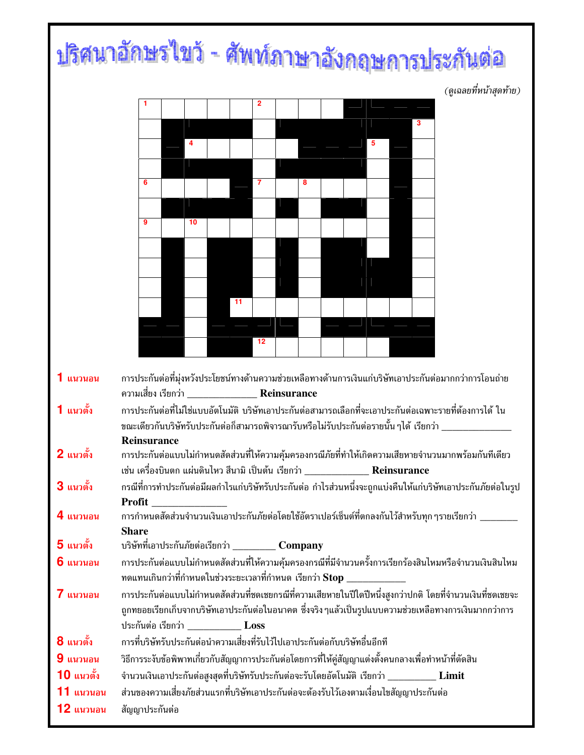| ปริศนาอักษรไขว้ - ศัพท์ภาษาอังกฤษการประกันต่อ   |                                                                                                                                                                                                                                                                                                                                                                                                                                                                                                                                                                                                                                                      |    |    |                |   |  |  |  |   |  |                        |
|-------------------------------------------------|------------------------------------------------------------------------------------------------------------------------------------------------------------------------------------------------------------------------------------------------------------------------------------------------------------------------------------------------------------------------------------------------------------------------------------------------------------------------------------------------------------------------------------------------------------------------------------------------------------------------------------------------------|----|----|----------------|---|--|--|--|---|--|------------------------|
|                                                 |                                                                                                                                                                                                                                                                                                                                                                                                                                                                                                                                                                                                                                                      |    |    |                |   |  |  |  |   |  | (ดูเฉลยที่หน้าสุดท้าย) |
|                                                 |                                                                                                                                                                                                                                                                                                                                                                                                                                                                                                                                                                                                                                                      |    |    |                |   |  |  |  |   |  |                        |
|                                                 |                                                                                                                                                                                                                                                                                                                                                                                                                                                                                                                                                                                                                                                      |    |    |                |   |  |  |  | 3 |  |                        |
|                                                 |                                                                                                                                                                                                                                                                                                                                                                                                                                                                                                                                                                                                                                                      | 4  |    |                |   |  |  |  |   |  |                        |
|                                                 |                                                                                                                                                                                                                                                                                                                                                                                                                                                                                                                                                                                                                                                      |    |    |                |   |  |  |  |   |  |                        |
|                                                 | 6                                                                                                                                                                                                                                                                                                                                                                                                                                                                                                                                                                                                                                                    |    |    | $\overline{7}$ | 8 |  |  |  |   |  |                        |
|                                                 |                                                                                                                                                                                                                                                                                                                                                                                                                                                                                                                                                                                                                                                      |    |    |                |   |  |  |  |   |  |                        |
|                                                 | 9                                                                                                                                                                                                                                                                                                                                                                                                                                                                                                                                                                                                                                                    | 10 |    |                |   |  |  |  |   |  |                        |
|                                                 |                                                                                                                                                                                                                                                                                                                                                                                                                                                                                                                                                                                                                                                      |    |    |                |   |  |  |  |   |  |                        |
|                                                 |                                                                                                                                                                                                                                                                                                                                                                                                                                                                                                                                                                                                                                                      |    |    |                |   |  |  |  |   |  |                        |
|                                                 |                                                                                                                                                                                                                                                                                                                                                                                                                                                                                                                                                                                                                                                      |    |    |                |   |  |  |  |   |  |                        |
|                                                 |                                                                                                                                                                                                                                                                                                                                                                                                                                                                                                                                                                                                                                                      |    |    |                |   |  |  |  |   |  |                        |
|                                                 |                                                                                                                                                                                                                                                                                                                                                                                                                                                                                                                                                                                                                                                      |    | 11 |                |   |  |  |  |   |  |                        |
|                                                 |                                                                                                                                                                                                                                                                                                                                                                                                                                                                                                                                                                                                                                                      |    |    |                |   |  |  |  |   |  |                        |
|                                                 |                                                                                                                                                                                                                                                                                                                                                                                                                                                                                                                                                                                                                                                      |    |    | 12             |   |  |  |  |   |  |                        |
| 1 แนวนอน<br>1 แนวตั้ง<br>2 แนวตั้ง<br>3 แนวตั้ง | การประกันต่อที่มุ่งหวังประโยชน์ทางด้านความช่วยเหลือทางด้านการเงินแก่บริษัทเอาประกันต่อมากกว่าการโอนถ่าย<br>ึการประกันต่อที่ไม่ใช่แบบอัตโนมัติ บริษัทเอาประกันต่อสามารถเลือกที่จะเอาประกันต่อเฉพาะรายที่ต้องการได้ ใน<br>ขณะเดียวกันบริษัทรับประกันต่อก็สามารถพิจารณารับหรือไม่รับประกันต่อรายนั้น ๆได้ เรียกว่า _____<br>Reinsurance<br>การประกันต่อแบบไม่กำหนดสัดส่วนที่ให้ความคุ้มครองกรณีภัยที่ทำให้เกิดความเสียหายจำนวนมากพร้อมกันทีเดียว<br>เช่น เครื่องบินตก แผ่นดินไหว สึนามิ เป็นต้น เรียกว่า _________________ Reinsurance<br>ึกรณีที่การทำประกันต่อมีผลกำไรแก่บริษัทรับประกันต่อ กำไรส่วนหนึ่งจะถูกแบ่งคืนให้แก่บริษัทเอาประกันภัยต่อในรูป |    |    |                |   |  |  |  |   |  |                        |
|                                                 | <b>Profit</b>                                                                                                                                                                                                                                                                                                                                                                                                                                                                                                                                                                                                                                        |    |    |                |   |  |  |  |   |  |                        |
| $4$ แนวนอน                                      | การกำหนดสัดส่วนจำนวนเงินเอาประกันภัยต่อโดยใช้อัตราเปอร์เซ็นต์ที่ตกลงกันไว้สำหรับทุก ๆรายเรียกว่า ________<br><b>Share</b>                                                                                                                                                                                                                                                                                                                                                                                                                                                                                                                            |    |    |                |   |  |  |  |   |  |                        |
| 5 แนวตั้ง                                       | บริษัทที่เอาประกันภัยต่อเรียกว่า _________ Company                                                                                                                                                                                                                                                                                                                                                                                                                                                                                                                                                                                                   |    |    |                |   |  |  |  |   |  |                        |
| $6$ แนวนอน                                      | การประกันต่อแบบไม่กำหนดสัดส่วนที่ให้ความคุ้มครองกรณีที่มีจำนวนครั้งการเรียกร้องสินไหมหรือจำนวนเงินสินไหม<br>ทดแทนเกินกว่าที่กำหนดในช่วงระยะเวลาที่กำหนด เรียกว่า $\mathbf{Stop}$ ____________                                                                                                                                                                                                                                                                                                                                                                                                                                                        |    |    |                |   |  |  |  |   |  |                        |
| $\overline{7}$ แนวนอน                           | การประกันต่อแบบไม่กำหนดสัดส่วนที่ชดเชยกรณีที่ความเสียหายในปีใดปีหนึ่งสูงกว่าปกติ โดยที่จำนวนเงินที่ชดเชยจะ<br>ถูกทยอยเรียกเก็บจากบริษัทเอาประกันต่อในอนาคต ซึ่งจริง ๆแล้วเป็นรูปแบบความช่วยเหลือทางการเงินมากกว่าการ<br>ประกันต่อ เรียกว่า ____________ Loss                                                                                                                                                                                                                                                                                                                                                                                         |    |    |                |   |  |  |  |   |  |                        |
| 8 แนวตั้ง                                       | การที่บริษัทรับประกันต่อนำความเสี่ยงที่รับไว้ไปเอาประกันต่อกับบริษัทอื่นอีกที                                                                                                                                                                                                                                                                                                                                                                                                                                                                                                                                                                        |    |    |                |   |  |  |  |   |  |                        |
| $9$ แนวนอน                                      | วิธีการระงับข้อพิพาทเกี่ยวกับสัญญาการประกันต่อโดยการที่ให้คู่สัญญาแต่งตั้งคนกลางเพื่อทำหน้าที่ตัดสิน<br>จำนวนเงินเอาประกันต่อสูงสุดที่บริษัทรับประกันต่อจะรับโดยอัตโนมัติ เรียกว่า ___________ Limit                                                                                                                                                                                                                                                                                                                                                                                                                                                 |    |    |                |   |  |  |  |   |  |                        |
| <b>10 แนวตั้ง</b>                               |                                                                                                                                                                                                                                                                                                                                                                                                                                                                                                                                                                                                                                                      |    |    |                |   |  |  |  |   |  |                        |
| $11$ แนวนอน                                     | ส่วนของความเสี่ยงภัยส่วนแรกที่บริษัทเอาประกันต่อจะต้องรับไว้เองตามเงื่อนไขสัญญาประกันต่อ                                                                                                                                                                                                                                                                                                                                                                                                                                                                                                                                                             |    |    |                |   |  |  |  |   |  |                        |
| <b>12 แนวนอน</b>                                | สัญญาประกันต่อ                                                                                                                                                                                                                                                                                                                                                                                                                                                                                                                                                                                                                                       |    |    |                |   |  |  |  |   |  |                        |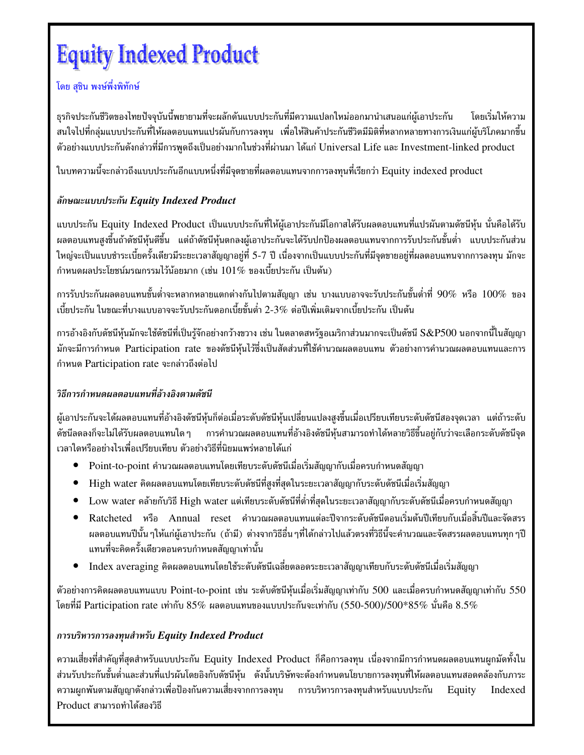## **Equity Indexed Product**

#### โดย สุชิน พงษ์พึ่งพิทักษ์

ธุรกิจประกันชีวิตของไทยปัจจุบันนี้พยายามที่จะผลักดันแบบประกันที่มีความแปลกใหม่ออกมานำเสนอแก่ผู้เอาประกัน โดยเริ่มให้ความ ีสนใจไปที่กลุ่มแบบประกันที่ให้ผลตอบแทนแปรผันกับการลงทุน เพื่อให้สินค้าประกันชีวิตมีมิติที่หลากหลายทางการเงินแก่ผู้บริโภคมากขึ้น ตัวอย่างแบบประกันดังกล่าวที่มีการพูดถึงเป็นอย่างมากในช่วงที่ผ่านมา ได้แก่ Universal Life และ Investment-linked product

ในบทความนี้จะกล่าวถึงแบบประกันอีกแบบหนึ่งที่มีจุดขายที่ผลตอบแทนจากการลงทุนที่เรียกว่า Equity indexed product

#### ลักษณะแบบประกัน Equity Indexed Product

แบบประกัน Equity Indexed Product เป็นแบบประกันที่ให้ผู้เอาประกันมีโอกาสได้รับผลตอบแทนที่แปรผันตามดัชนีหุ้น นั่นคือได้รับ ้ผลตอบแทนสูงขึ้นถ้าดัชนีหุ้นดีขึ้น แต่ถ้าดัชนีหุ้นตกลงผู้เอาประกันจะได้รับปกป้องผลตอบแทนจากการรับประกันขั้นต่ำ แบบประกันส่วน ใหญ่จะเป็นแบบชำระเบี้ยครั้งเดียวมีระยะเวลาสัญญาอยู่ที่ 5-7 ปี เนื่องจากเป็นแบบประกันที่มีจุดขายอยู่ที่ผลตอบแทนจากการลงทุน มักจะ กำหนดผลประโยชน์มรณกรรมไว้น้อยมาก (เช่น  $101\%$  ของเบี้ยประกัน เป็นต้น)

การรับประกันผลตอบแทนขั้นต่ำจะหลากหลายแตกต่างกันไปตามสัญญา เช่น บางแบบอาจจะรับประกันขั้นต่ำที่ 90% หรือ  $100\%$  ของ เบี้ยประกัน ในขณะที่บางแบบอาจจะรับประกันดอกเบี้ยขั้นต่ำ 2-3% ต่อปีเพิ่มเติมจากเบี้ยประกัน เป็นต้น

การอ้างอิงกับดัชนีหุ้นมักจะใช้ดัชนีที่เป็นรู้จักอย่างกว้างขวาง เช่น ในตลาดสหรัฐอเมริกาส่วนมากจะเป็นดัชนี S&P500 นอกจากนี้ในสัญญา ้มักจะมีการกำหนด Participation rate ของดัชนีหุ้นไว้ซึ่งเป็นสัดส่วนที่ใช้คำนวณผลตอบแทน ตัวอย่างการคำนวณผลตอบแทนและการ กำหนด Participation rate จะกล่าวถึงต่อไป

#### วิธีการกำหนดผลตอบแทนที่อ้างอิงตามดัชนี

ผู้เอาประกันจะได้ผลตอบแทนที่อ้างอิงดัชนีหุ้นก็ต่อเมื่อระดับดัชนีหุ้นเปลี่ยนแปลงสูงขึ้นเมื่อเปรียบเทียบระดับดัชนีสองจุดเวลา แต่ถ้าระดับ ดัชนีลดลงก็จะไม่ได้รับผลตอบแทนใด ๆ การคำนวณผลตอบแทนที่อ้างอิงดัชนีหุ้นสามารถทำได้หลายวิธีขึ้นอยู่กับว่าจะเลือกระดับดัชนีจุด เวลาใดหรืออย่างไรเพื่อเปรียบเทียบ ตัวอย่างวิธีที่นิยมแพร่หลายได้แก่

- Point-to-point คำนวณผลตอบแทนโดยเทียบระดับดัชนีเมื่อเริ่มสัญญากับเมื่อครบกำหนดสัญญา
- High water คิดผลตอบแทนโดยเทียบระดับดัชนีที่สูงที่สุดในระยะเวลาสัญญากับระดับดัชนีเมื่อเริ่มสัญญา
- $\bullet$   $\;$  Low water คล้ายกับวิธี High water แต่เทียบระดับดัชนีที่ต่ำที่สุดในระยะเวลาสัญญากับระดับดัชนีเมื่อครบกำหนดสัญญา
- Ratcheted หรือ Annual reset คำนวณผลตอบแทนแต่ละปีจากระดับดัชนีตอนเริ่มต้นปีเทียบกับเมื่อสิ้นปีและจัดสรร  $\bullet$ ผลตอบแทนปีนั้น ๆให้แก่ผู้เอาประกัน (ถ้ามี) ต่างจากวิธีอื่น ๆที่ได้กล่าวไปแล้วตรงที่วิธีนี้จะคำนวณและจัดสรรผลตอบแทนทุก ๆปี แทนที่จะคิดครั้งเดียวตอนครบกำหนดสัญญาเท่านั้น
- Index averaging คิดผลตอบแทนโดยใช้ระดับดัชนีเฉลี่ยตลอดระยะเวลาสัญญาเทียบกับระดับดัชนีเมื่อเริ่มสัญญา  $\bullet$

ตัวอย่างการคิดผลตอบแทนแบบ Point-to-point เช่น ระดับดัชนีหุ้นเมื่อเริ่มสัญญาเท่ากับ 500 และเมื่อครบกำหนดสัญญาเท่ากับ 550 โดยที่มี Participation rate เท่ากับ 85% ผลตอบแทนของแบบประกันจะเท่ากับ (550-500)/500\*85% นั่นคือ 8.5%

#### การบริหารการลงทุนสำหรับ Equity Indexed Product

ี ความเสี่ยงที่สำคัญที่สุดสำหรับแบบประกัน Equity Indexed Product ก็คือการลงทุน เนื่องจากมีการกำหนดผลตอบแทนผูกมัดทั้งใน ้ส่วนรับประกันขั้นต่ำและส่วนที่แปรผันโดยอิงกับดัชนีหุ้น ดังนั้นบริษัทจะต้องกำหนดนโยบายการลงทุนที่ให้ผลตอบแทนสอดคล้องกับภาระ ้ความผูกพันตามสัญญาดังกล่าวเพื่อป้องกันความเสี่ยงจากการลงทุน การบริหารการลงทุนสำหรับแบบประกัน Equity Indexed Product สามารถทำได้สองวิธี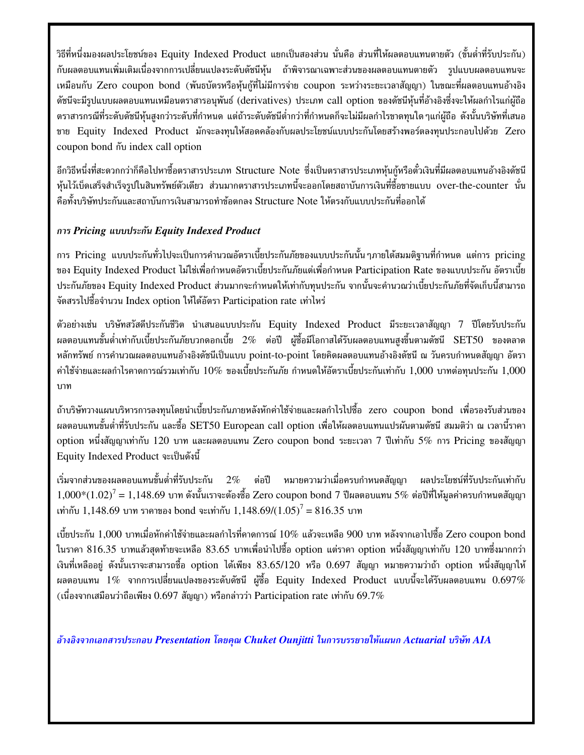วิธีที่หนึ่งมองผลประโยชน์ของ Equity Indexed Product แยกเป็นสองส่วน นั่นคือ ส่วนที่ให้ผลตอบแทนตายตัว (ขั้นต่ำที่รับประกัน) ้กับผลตอบแทนเพิ่มเติมเนื่องจากการเปลี่ยนแปลงระดับดัชนีห้น ถ้าพิจารณาเฉพาะส่วนของผลตอบแทนตายตัว รปแบบผลตอบแทนจะ เหมือนกับ Zero coupon bond (พันธบัตรหรือห้นก้ที่ไม่มีการจ่าย coupon ระหว่างระยะเวลาสัญญา) ในขณะที่ผลตอบแทนอ้างอิง ดัชนีจะมีรูปแบบผลตอบแทนเหมือนตราสารอนุพันธ์ (derivatives) ประเภท call option ของดัชนีหุ้นที่อ้างอิงซึ่งจะให้ผลกำไรแก่ผู้ถือ ตราสารกรณีที่ระดับดัชนีห้นสงกว่าระดับที่กำหนด แต่ถ้าระดับดัชนีต่ำกว่าที่กำหนดก็จะไม่มีผลกำไรขาดทนใด ๆแก่ผ้ถือ ดังนั้นบริษัทที่เสนอ ขาย Equity Indexed Product มักจะลงทุนให้สอดคล้องกับผลประโยชน์แบบประกันโดยสร้างพอร์ตลงทุนประกอบไปด้วย Zero coupon bond nv index call option

อีกวิธีหนึ่งที่สะดวกกว่าก็คือไปหาซื้อตราสารประเภท Structure Note ซึ่งเป็นตราสารประเภทห้นก้หรือตั๋วเงินที่มีผลตอบแทนอ้างอิงดัชนี หุ้นไว้เบ็ดเสร็จสำเร็จรูปในสินทรัพย์ตัวเดียว ส่วนมากตราสารประเภทนี้จะออกโดยสถาบันการเงินที่ซื้อขายแบบ over-the-counter นั่น คือทั้งบริษัทประกันและสถาบันการเงินสามารถทำข้อตกลง Structure Note ให้ตรงกับแบบประกันที่ออกได้

#### การ Pricing แบบประกัน Equity Indexed Product

การ Pricing แบบประกันทั่วไปจะเป็นการคำนวณอัตราเบี้ยประกันภัยของแบบประกันนั้นๆภายใต้สมมติฐานที่กำหนด แต่การ pricing ของ Equity Indexed Product ไม่ใช่เพื่อกำหนดอัตราเบี้ยประกันภัยแต่เพื่อกำหนด Participation Rate ของแบบประกัน อัตราเบี้ย ประกันภัยของ Equity Indexed Product ส่วนมากจะกำหนดให้เท่ากับทุนประกัน จากนั้นจะคำนวณว่าเบี้ยประกันภัยที่จัดเก็บนี้สามารถ จัดสรรไปซื้อจำนวน Index option ให้ได้อัตรา Participation rate เท่าไหร่

ตัวอย่างเช่น บริษัทสวัสดีประกันชีวิต นำเสนอแบบประกัน Equity Indexed Product มีระยะเวลาสัญญา 7 ปีโดยรับประกัน ผลตอบแทนขั้นต่ำเท่ากับเบี้ยประกันภัยบวกดอกเบี้ย 2% ต่อปี ผู้ซื้อมีโอกาสได้รับผลตอบแทนสูงขึ้นตามดัชนี SET50 ของตลาด หลักทรัพย์ การคำนวณผลตอบแทนอ้างอิงดัชนีเป็นแบบ point-to-point โดยคิดผลตอบแทนอ้างอิงดัชนี ณ วันครบกำหนดสัญญา อัตรา ค่าใช้จ่ายและผลกำไรคาดการณ์รวมเท่ากับ 10% ของเบี้ยประกันภัย กำหนดให้อัตราเบี้ยประกันเท่ากับ 1,000 บาทต่อทนประกัน 1,000 **1**nn

ถ้าบริษัทวางแผนบริหารการลงทนโดยนำเบี้ยประกันภายหลังหักค่าใช้จ่ายและผลกำไรไปซื้อ zero coupon bond เพื่อรองรับส่วนของ ผลตอบแทนขั้นต่ำที่รับประกัน และซื้อ SET50 European call option เพื่อให้ผลตอบแทนแปรผันตามดัชนี สมมติว่า ณ เวลานี้ราคา option หนึ่งสัญญาเท่ากับ 120 บาท และผลตอบแทน Zero coupon bond ระยะเวลา 7 ปีเท่ากับ 5% การ Pricing ของสัญญา Equity Indexed Product จะเป็นดังนี้

เริ่มจากส่วนของผลตอบแทนขั้นต่ำที่รับประกัน 2 $\%$ ี่ ต่อปี หมายความว่าเมื่อครบกำหนดสัญญา ผลประโยชน์ที่รับประกันเท่ากับ  $1,000*(1.02)^7 = 1,148.69$  บาท ดังนั้นเราจะต้องซื้อ Zero coupon bond 7 ปีผลตอบแทน 5% ต่อปีที่ให้มูลค่าครบกำหนดสัญญา เท่ากับ 1,148.69 บาท ราคาของ bond จะเท่ากับ 1,148.69/ $(1.05)^7 = 816.35$  บาท

เบี้ยประกัน 1,000 บาทเมื่อหักค่าใช้จ่ายและผลกำไรที่คาดการณ์ 10% แล้วจะเหลือ 900 บาท หลังจากเอาไปซื้อ Zero coupon bond ในราคา 816.35 บาทแล้วสุดท้ายจะเหลือ 83.65 บาทเพื่อนำไปซื้อ option แต่ราคา option หนึ่งสัญญาเท่ากับ 120 บาทซึ่งมากกว่า เงินที่เหลืออยู่ ดังนั้นเราจะสามารถซื้อ option ได้เพียง 83.65/120 หรือ 0.697 สัญญา หมายความว่าถ้า option หนึ่งสัญญาให้ ผลตอบแทน  $1\%$  จากการเปลี่ยนแปลงของระดับดัชนี ผู้ซื้อ Equity Indexed Product แบบนี้จะได้รับผลตอบแทน  $0.697\%$ (เนื่องจากเสมือนว่าถือเพียง  $0.697$  สัญญา) หรือกล่าวว่า Participation rate เท่ากับ  $69.7\%$ 

อ้างอิงจากเอกสารประกอบ Presentation โดยคุณ Chuket Ounjitti ในการบรรยายให้แผนก Actuarial บริษัท AIA